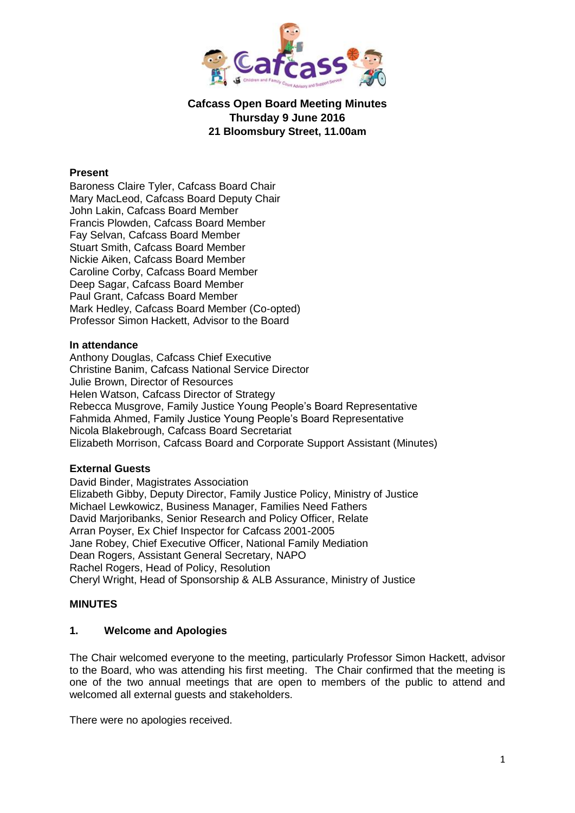

# **Cafcass Open Board Meeting Minutes Thursday 9 June 2016 21 Bloomsbury Street, 11.00am**

#### **Present**

Baroness Claire Tyler, Cafcass Board Chair Mary MacLeod, Cafcass Board Deputy Chair John Lakin, Cafcass Board Member Francis Plowden, Cafcass Board Member Fay Selvan, Cafcass Board Member Stuart Smith, Cafcass Board Member Nickie Aiken, Cafcass Board Member Caroline Corby, Cafcass Board Member Deep Sagar, Cafcass Board Member Paul Grant, Cafcass Board Member Mark Hedley, Cafcass Board Member (Co-opted) Professor Simon Hackett, Advisor to the Board

#### **In attendance**

Anthony Douglas, Cafcass Chief Executive Christine Banim, Cafcass National Service Director Julie Brown, Director of Resources Helen Watson, Cafcass Director of Strategy Rebecca Musgrove, Family Justice Young People's Board Representative Fahmida Ahmed, Family Justice Young People's Board Representative Nicola Blakebrough, Cafcass Board Secretariat Elizabeth Morrison, Cafcass Board and Corporate Support Assistant (Minutes)

#### **External Guests**

David Binder, Magistrates Association Elizabeth Gibby, Deputy Director, Family Justice Policy, Ministry of Justice Michael Lewkowicz, Business Manager, Families Need Fathers David Marjoribanks, Senior Research and Policy Officer, Relate Arran Poyser, Ex Chief Inspector for Cafcass 2001-2005 Jane Robey, Chief Executive Officer, National Family Mediation Dean Rogers, Assistant General Secretary, NAPO Rachel Rogers, Head of Policy, Resolution Cheryl Wright, Head of Sponsorship & ALB Assurance, Ministry of Justice

#### **MINUTES**

#### **1. Welcome and Apologies**

The Chair welcomed everyone to the meeting, particularly Professor Simon Hackett, advisor to the Board, who was attending his first meeting. The Chair confirmed that the meeting is one of the two annual meetings that are open to members of the public to attend and welcomed all external guests and stakeholders.

There were no apologies received.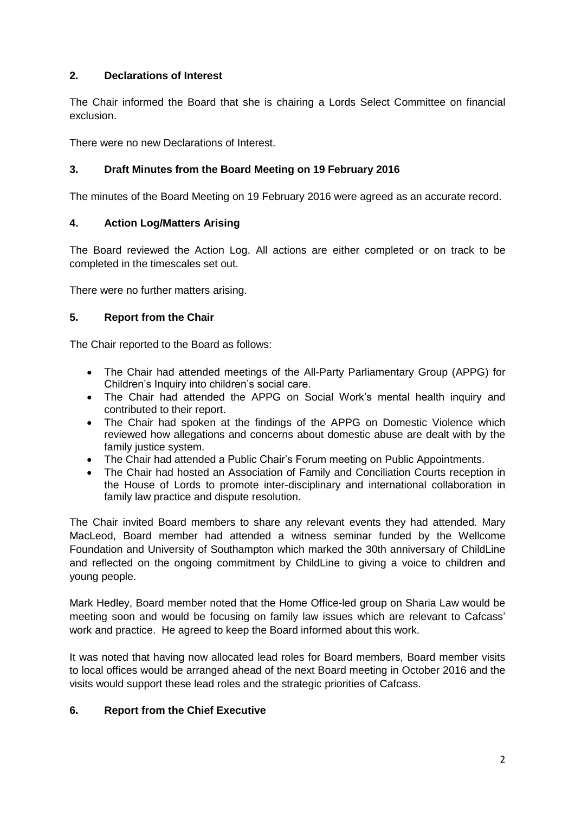# **2. Declarations of Interest**

The Chair informed the Board that she is chairing a Lords Select Committee on financial exclusion.

There were no new Declarations of Interest.

# **3. Draft Minutes from the Board Meeting on 19 February 2016**

The minutes of the Board Meeting on 19 February 2016 were agreed as an accurate record.

### **4. Action Log/Matters Arising**

The Board reviewed the Action Log. All actions are either completed or on track to be completed in the timescales set out.

There were no further matters arising.

### **5. Report from the Chair**

The Chair reported to the Board as follows:

- The Chair had attended meetings of the All-Party Parliamentary Group (APPG) for Children's Inquiry into children's social care.
- The Chair had attended the APPG on Social Work's mental health inquiry and contributed to their report.
- The Chair had spoken at the findings of the APPG on Domestic Violence which reviewed how allegations and concerns about domestic abuse are dealt with by the family justice system.
- The Chair had attended a Public Chair's Forum meeting on Public Appointments.
- The Chair had hosted an Association of Family and Conciliation Courts reception in the House of Lords to promote inter-disciplinary and international collaboration in family law practice and dispute resolution.

The Chair invited Board members to share any relevant events they had attended. Mary MacLeod, Board member had attended a witness seminar funded by the Wellcome Foundation and University of Southampton which marked the 30th anniversary of ChildLine and reflected on the ongoing commitment by ChildLine to giving a voice to children and young people.

Mark Hedley, Board member noted that the Home Office-led group on Sharia Law would be meeting soon and would be focusing on family law issues which are relevant to Cafcass' work and practice. He agreed to keep the Board informed about this work.

It was noted that having now allocated lead roles for Board members, Board member visits to local offices would be arranged ahead of the next Board meeting in October 2016 and the visits would support these lead roles and the strategic priorities of Cafcass.

# **6. Report from the Chief Executive**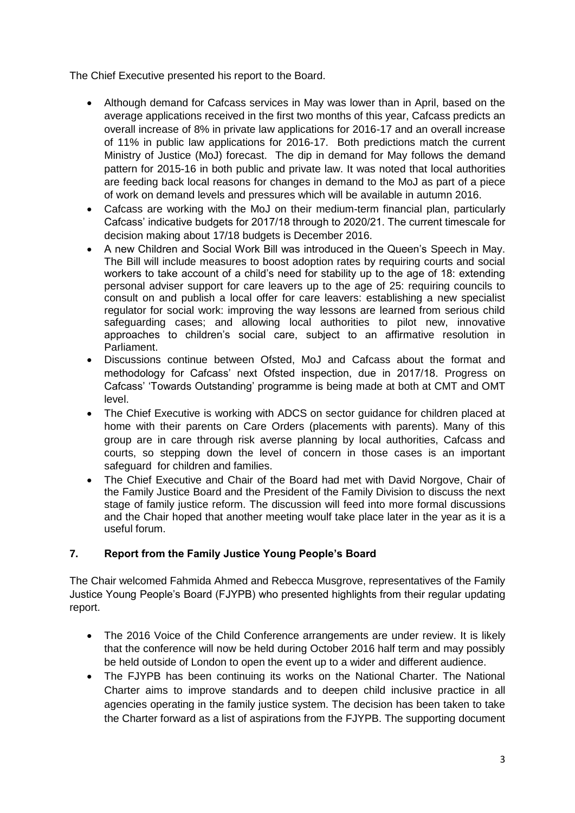The Chief Executive presented his report to the Board.

- Although demand for Cafcass services in May was lower than in April, based on the average applications received in the first two months of this year, Cafcass predicts an overall increase of 8% in private law applications for 2016-17 and an overall increase of 11% in public law applications for 2016-17. Both predictions match the current Ministry of Justice (MoJ) forecast. The dip in demand for May follows the demand pattern for 2015-16 in both public and private law. It was noted that local authorities are feeding back local reasons for changes in demand to the MoJ as part of a piece of work on demand levels and pressures which will be available in autumn 2016.
- Cafcass are working with the MoJ on their medium-term financial plan, particularly Cafcass' indicative budgets for 2017/18 through to 2020/21. The current timescale for decision making about 17/18 budgets is December 2016.
- A new Children and Social Work Bill was introduced in the Queen's Speech in May. The Bill will include measures to boost adoption rates by requiring courts and social workers to take account of a child's need for stability up to the age of 18: extending personal adviser support for care leavers up to the age of 25: requiring councils to consult on and publish a local offer for care leavers: establishing a new specialist regulator for social work: improving the way lessons are learned from serious child safeguarding cases; and allowing local authorities to pilot new, innovative approaches to children's social care, subject to an affirmative resolution in Parliament.
- Discussions continue between Ofsted, MoJ and Cafcass about the format and methodology for Cafcass' next Ofsted inspection, due in 2017/18. Progress on Cafcass' 'Towards Outstanding' programme is being made at both at CMT and OMT level.
- The Chief Executive is working with ADCS on sector guidance for children placed at home with their parents on Care Orders (placements with parents). Many of this group are in care through risk averse planning by local authorities, Cafcass and courts, so stepping down the level of concern in those cases is an important safeguard for children and families.
- The Chief Executive and Chair of the Board had met with David Norgove, Chair of the Family Justice Board and the President of the Family Division to discuss the next stage of family justice reform. The discussion will feed into more formal discussions and the Chair hoped that another meeting woulf take place later in the year as it is a useful forum.

# **7. Report from the Family Justice Young People's Board**

The Chair welcomed Fahmida Ahmed and Rebecca Musgrove, representatives of the Family Justice Young People's Board (FJYPB) who presented highlights from their regular updating report.

- The 2016 Voice of the Child Conference arrangements are under review. It is likely that the conference will now be held during October 2016 half term and may possibly be held outside of London to open the event up to a wider and different audience.
- The FJYPB has been continuing its works on the National Charter. The National Charter aims to improve standards and to deepen child inclusive practice in all agencies operating in the family justice system. The decision has been taken to take the Charter forward as a list of aspirations from the FJYPB. The supporting document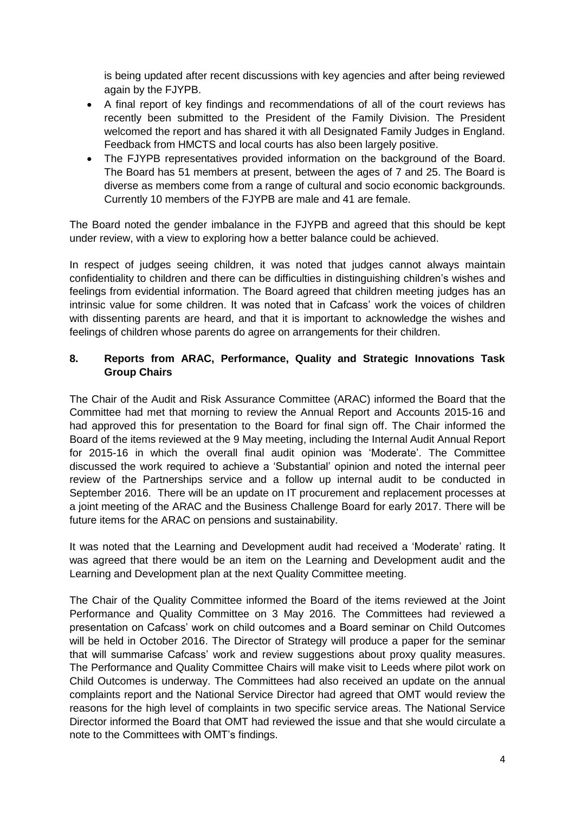is being updated after recent discussions with key agencies and after being reviewed again by the FJYPB.

- A final report of key findings and recommendations of all of the court reviews has recently been submitted to the President of the Family Division. The President welcomed the report and has shared it with all Designated Family Judges in England. Feedback from HMCTS and local courts has also been largely positive.
- The FJYPB representatives provided information on the background of the Board. The Board has 51 members at present, between the ages of 7 and 25. The Board is diverse as members come from a range of cultural and socio economic backgrounds. Currently 10 members of the FJYPB are male and 41 are female.

The Board noted the gender imbalance in the FJYPB and agreed that this should be kept under review, with a view to exploring how a better balance could be achieved.

In respect of judges seeing children, it was noted that judges cannot always maintain confidentiality to children and there can be difficulties in distinguishing children's wishes and feelings from evidential information. The Board agreed that children meeting judges has an intrinsic value for some children. It was noted that in Cafcass' work the voices of children with dissenting parents are heard, and that it is important to acknowledge the wishes and feelings of children whose parents do agree on arrangements for their children.

# **8. Reports from ARAC, Performance, Quality and Strategic Innovations Task Group Chairs**

The Chair of the Audit and Risk Assurance Committee (ARAC) informed the Board that the Committee had met that morning to review the Annual Report and Accounts 2015-16 and had approved this for presentation to the Board for final sign off. The Chair informed the Board of the items reviewed at the 9 May meeting, including the Internal Audit Annual Report for 2015-16 in which the overall final audit opinion was 'Moderate'. The Committee discussed the work required to achieve a 'Substantial' opinion and noted the internal peer review of the Partnerships service and a follow up internal audit to be conducted in September 2016. There will be an update on IT procurement and replacement processes at a joint meeting of the ARAC and the Business Challenge Board for early 2017. There will be future items for the ARAC on pensions and sustainability.

It was noted that the Learning and Development audit had received a 'Moderate' rating. It was agreed that there would be an item on the Learning and Development audit and the Learning and Development plan at the next Quality Committee meeting.

The Chair of the Quality Committee informed the Board of the items reviewed at the Joint Performance and Quality Committee on 3 May 2016. The Committees had reviewed a presentation on Cafcass' work on child outcomes and a Board seminar on Child Outcomes will be held in October 2016. The Director of Strategy will produce a paper for the seminar that will summarise Cafcass' work and review suggestions about proxy quality measures. The Performance and Quality Committee Chairs will make visit to Leeds where pilot work on Child Outcomes is underway. The Committees had also received an update on the annual complaints report and the National Service Director had agreed that OMT would review the reasons for the high level of complaints in two specific service areas. The National Service Director informed the Board that OMT had reviewed the issue and that she would circulate a note to the Committees with OMT's findings.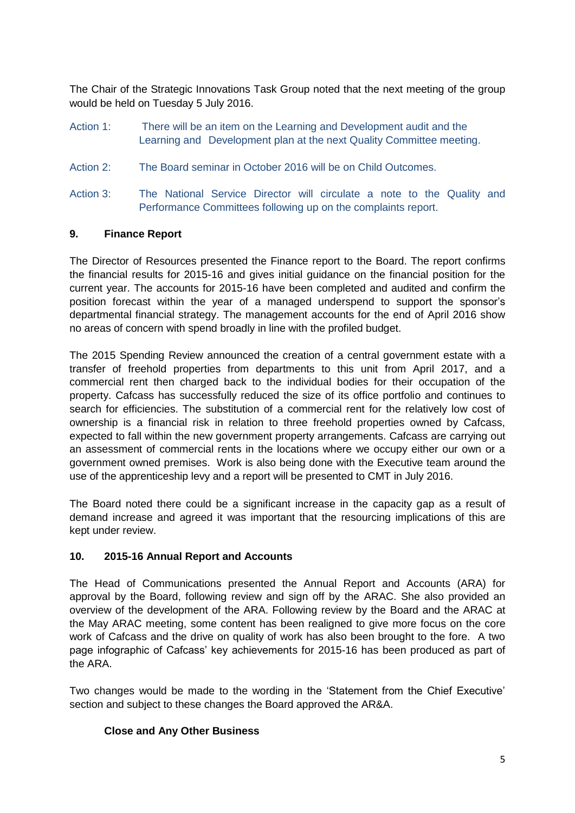The Chair of the Strategic Innovations Task Group noted that the next meeting of the group would be held on Tuesday 5 July 2016.

- Action 1: There will be an item on the Learning and Development audit and the Learning and Development plan at the next Quality Committee meeting.
- Action 2: The Board seminar in October 2016 will be on Child Outcomes.
- Action 3: The National Service Director will circulate a note to the Quality and Performance Committees following up on the complaints report.

### **9. Finance Report**

The Director of Resources presented the Finance report to the Board. The report confirms the financial results for 2015-16 and gives initial guidance on the financial position for the current year. The accounts for 2015-16 have been completed and audited and confirm the position forecast within the year of a managed underspend to support the sponsor's departmental financial strategy. The management accounts for the end of April 2016 show no areas of concern with spend broadly in line with the profiled budget.

The 2015 Spending Review announced the creation of a central government estate with a transfer of freehold properties from departments to this unit from April 2017, and a commercial rent then charged back to the individual bodies for their occupation of the property. Cafcass has successfully reduced the size of its office portfolio and continues to search for efficiencies. The substitution of a commercial rent for the relatively low cost of ownership is a financial risk in relation to three freehold properties owned by Cafcass, expected to fall within the new government property arrangements. Cafcass are carrying out an assessment of commercial rents in the locations where we occupy either our own or a government owned premises. Work is also being done with the Executive team around the use of the apprenticeship levy and a report will be presented to CMT in July 2016.

The Board noted there could be a significant increase in the capacity gap as a result of demand increase and agreed it was important that the resourcing implications of this are kept under review.

### **10. 2015-16 Annual Report and Accounts**

The Head of Communications presented the Annual Report and Accounts (ARA) for approval by the Board, following review and sign off by the ARAC. She also provided an overview of the development of the ARA. Following review by the Board and the ARAC at the May ARAC meeting, some content has been realigned to give more focus on the core work of Cafcass and the drive on quality of work has also been brought to the fore. A two page infographic of Cafcass' key achievements for 2015-16 has been produced as part of the ARA.

Two changes would be made to the wording in the 'Statement from the Chief Executive' section and subject to these changes the Board approved the AR&A.

### **Close and Any Other Business**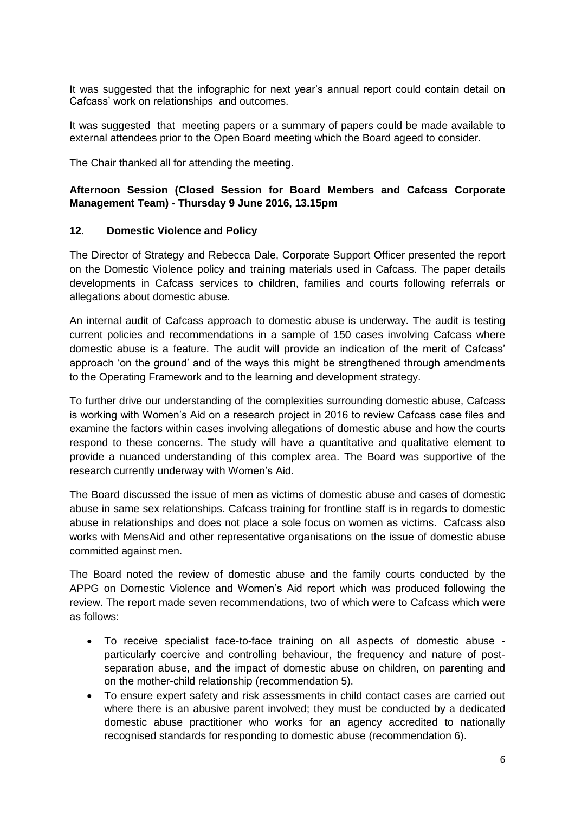It was suggested that the infographic for next year's annual report could contain detail on Cafcass' work on relationships and outcomes.

It was suggested that meeting papers or a summary of papers could be made available to external attendees prior to the Open Board meeting which the Board ageed to consider.

The Chair thanked all for attending the meeting.

## **Afternoon Session (Closed Session for Board Members and Cafcass Corporate Management Team) - Thursday 9 June 2016, 13.15pm**

### **12**. **Domestic Violence and Policy**

The Director of Strategy and Rebecca Dale, Corporate Support Officer presented the report on the Domestic Violence policy and training materials used in Cafcass. The paper details developments in Cafcass services to children, families and courts following referrals or allegations about domestic abuse.

An internal audit of Cafcass approach to domestic abuse is underway. The audit is testing current policies and recommendations in a sample of 150 cases involving Cafcass where domestic abuse is a feature. The audit will provide an indication of the merit of Cafcass' approach 'on the ground' and of the ways this might be strengthened through amendments to the Operating Framework and to the learning and development strategy.

To further drive our understanding of the complexities surrounding domestic abuse, Cafcass is working with Women's Aid on a research project in 2016 to review Cafcass case files and examine the factors within cases involving allegations of domestic abuse and how the courts respond to these concerns. The study will have a quantitative and qualitative element to provide a nuanced understanding of this complex area. The Board was supportive of the research currently underway with Women's Aid.

The Board discussed the issue of men as victims of domestic abuse and cases of domestic abuse in same sex relationships. Cafcass training for frontline staff is in regards to domestic abuse in relationships and does not place a sole focus on women as victims. Cafcass also works with MensAid and other representative organisations on the issue of domestic abuse committed against men.

The Board noted the review of domestic abuse and the family courts conducted by the APPG on Domestic Violence and Women's Aid report which was produced following the review. The report made seven recommendations, two of which were to Cafcass which were as follows:

- To receive specialist face-to-face training on all aspects of domestic abuse particularly coercive and controlling behaviour, the frequency and nature of postseparation abuse, and the impact of domestic abuse on children, on parenting and on the mother-child relationship (recommendation 5).
- To ensure expert safety and risk assessments in child contact cases are carried out where there is an abusive parent involved; they must be conducted by a dedicated domestic abuse practitioner who works for an agency accredited to nationally recognised standards for responding to domestic abuse (recommendation 6).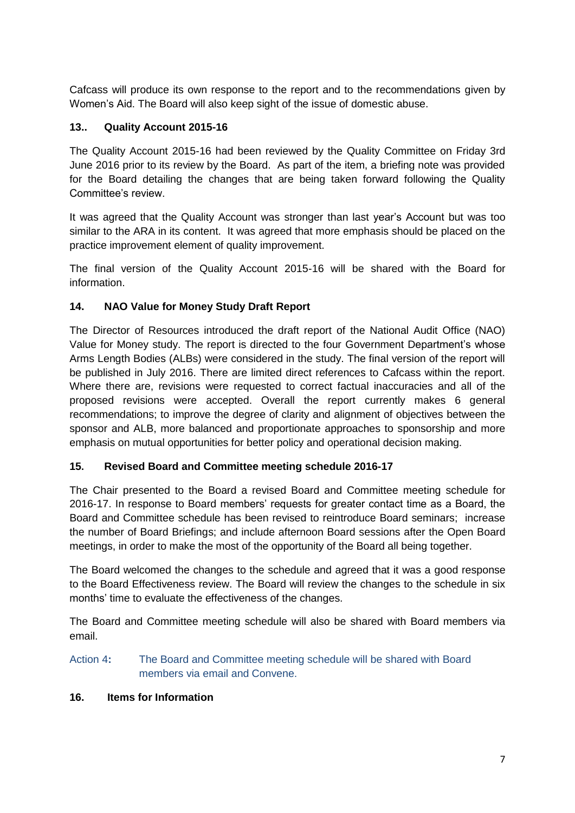Cafcass will produce its own response to the report and to the recommendations given by Women's Aid. The Board will also keep sight of the issue of domestic abuse.

# **13.. Quality Account 2015-16**

The Quality Account 2015-16 had been reviewed by the Quality Committee on Friday 3rd June 2016 prior to its review by the Board. As part of the item, a briefing note was provided for the Board detailing the changes that are being taken forward following the Quality Committee's review.

It was agreed that the Quality Account was stronger than last year's Account but was too similar to the ARA in its content. It was agreed that more emphasis should be placed on the practice improvement element of quality improvement.

The final version of the Quality Account 2015-16 will be shared with the Board for information.

### **14. NAO Value for Money Study Draft Report**

The Director of Resources introduced the draft report of the National Audit Office (NAO) Value for Money study. The report is directed to the four Government Department's whose Arms Length Bodies (ALBs) were considered in the study. The final version of the report will be published in July 2016. There are limited direct references to Cafcass within the report. Where there are, revisions were requested to correct factual inaccuracies and all of the proposed revisions were accepted. Overall the report currently makes 6 general recommendations; to improve the degree of clarity and alignment of objectives between the sponsor and ALB, more balanced and proportionate approaches to sponsorship and more emphasis on mutual opportunities for better policy and operational decision making.

### **15. Revised Board and Committee meeting schedule 2016-17**

The Chair presented to the Board a revised Board and Committee meeting schedule for 2016-17. In response to Board members' requests for greater contact time as a Board, the Board and Committee schedule has been revised to reintroduce Board seminars; increase the number of Board Briefings; and include afternoon Board sessions after the Open Board meetings, in order to make the most of the opportunity of the Board all being together.

The Board welcomed the changes to the schedule and agreed that it was a good response to the Board Effectiveness review. The Board will review the changes to the schedule in six months' time to evaluate the effectiveness of the changes.

The Board and Committee meeting schedule will also be shared with Board members via email.

### Action 4**:** The Board and Committee meeting schedule will be shared with Board members via email and Convene.

### **16. Items for Information**